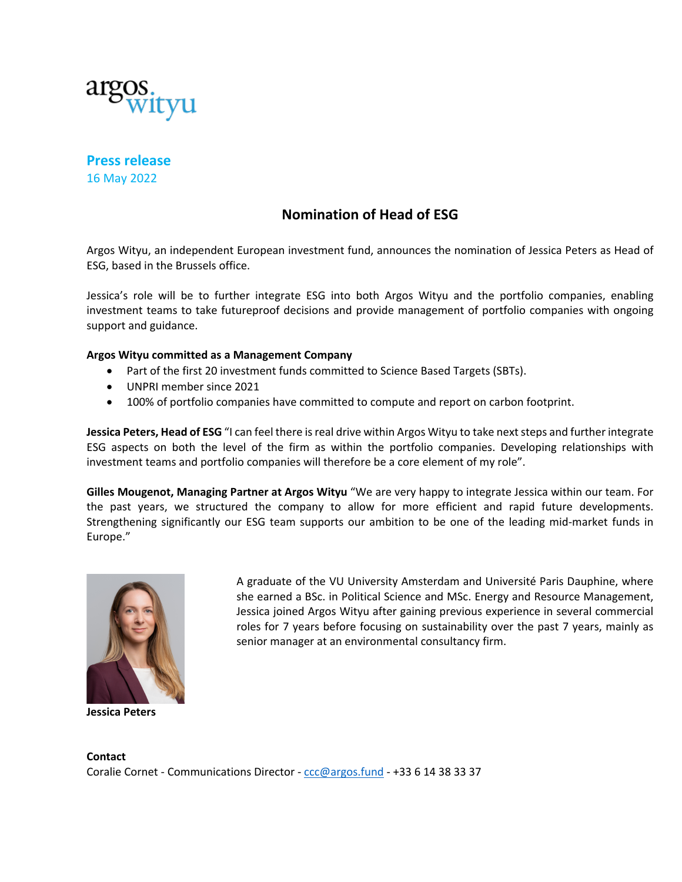

**Press release** 16 May 2022

## **Nomination of Head of ESG**

Argos Wityu, an independent European investment fund, announces the nomination of Jessica Peters as Head of ESG, based in the Brussels office.

Jessica's role will be to further integrate ESG into both Argos Wityu and the portfolio companies, enabling investment teams to take futureproof decisions and provide management of portfolio companies with ongoing support and guidance.

## **Argos Wityu committed as a Management Company**

- Part of the first 20 investment funds committed to Science Based Targets (SBTs).
- UNPRI member since 2021
- 100% of portfolio companies have committed to compute and report on carbon footprint.

**Jessica Peters, Head of ESG** "I can feel there is real drive within Argos Wityu to take next steps and further integrate ESG aspects on both the level of the firm as within the portfolio companies. Developing relationships with investment teams and portfolio companies will therefore be a core element of my role".

**Gilles Mougenot, Managing Partner at Argos Wityu** "We are very happy to integrate Jessica within our team. For the past years, we structured the company to allow for more efficient and rapid future developments. Strengthening significantly our ESG team supports our ambition to be one of the leading mid-market funds in Europe."



**Jessica Peters**

A graduate of the VU University Amsterdam and Université Paris Dauphine, where she earned a BSc. in Political Science and MSc. Energy and Resource Management, Jessica joined Argos Wityu after gaining previous experience in several commercial roles for 7 years before focusing on sustainability over the past 7 years, mainly as senior manager at an environmental consultancy firm.

**Contact** Coralie Cornet - Communications Director - ccc@argos.fund - +33 6 14 38 33 37